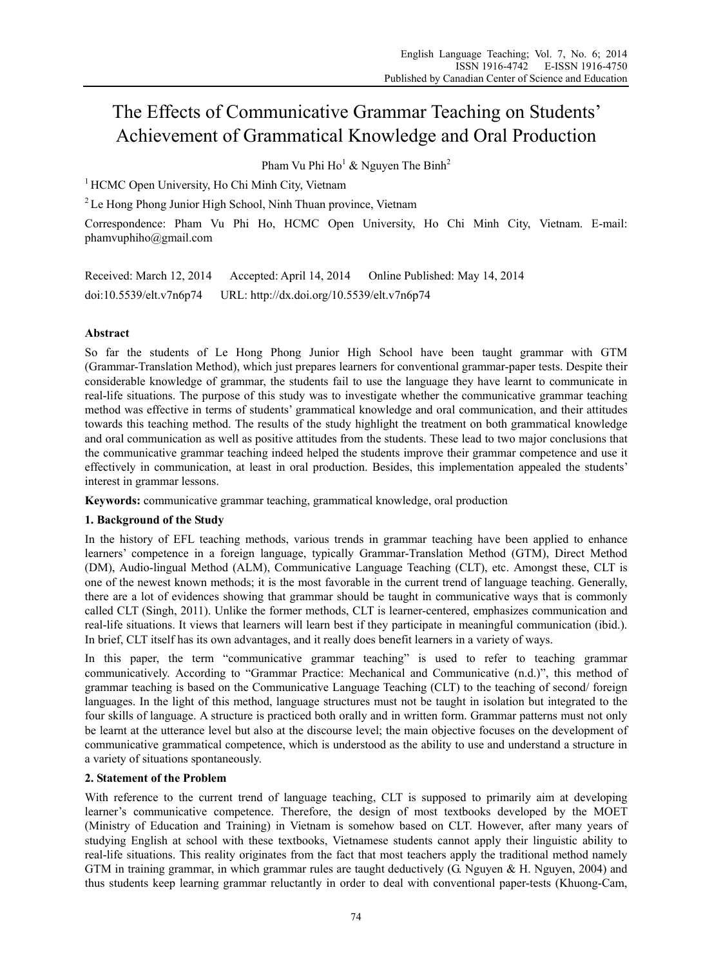# The Effects of Communicative Grammar Teaching on Students' Achievement of Grammatical Knowledge and Oral Production

Pham Vu Phi Ho<sup>1</sup> & Nguyen The Binh<sup>2</sup>

<sup>1</sup> HCMC Open University, Ho Chi Minh City, Vietnam

<sup>2</sup> Le Hong Phong Junior High School, Ninh Thuan province, Vietnam

Correspondence: Pham Vu Phi Ho, HCMC Open University, Ho Chi Minh City, Vietnam. E-mail: phamvuphiho@gmail.com

Received: March 12, 2014 Accepted: April 14, 2014 Online Published: May 14, 2014 doi:10.5539/elt.v7n6p74 URL: http://dx.doi.org/10.5539/elt.v7n6p74

# **Abstract**

So far the students of Le Hong Phong Junior High School have been taught grammar with GTM (Grammar-Translation Method), which just prepares learners for conventional grammar-paper tests. Despite their considerable knowledge of grammar, the students fail to use the language they have learnt to communicate in real-life situations. The purpose of this study was to investigate whether the communicative grammar teaching method was effective in terms of students' grammatical knowledge and oral communication, and their attitudes towards this teaching method. The results of the study highlight the treatment on both grammatical knowledge and oral communication as well as positive attitudes from the students. These lead to two major conclusions that the communicative grammar teaching indeed helped the students improve their grammar competence and use it effectively in communication, at least in oral production. Besides, this implementation appealed the students' interest in grammar lessons.

**Keywords:** communicative grammar teaching, grammatical knowledge, oral production

# **1. Background of the Study**

In the history of EFL teaching methods, various trends in grammar teaching have been applied to enhance learners' competence in a foreign language, typically Grammar-Translation Method (GTM), Direct Method (DM), Audio-lingual Method (ALM), Communicative Language Teaching (CLT), etc. Amongst these, CLT is one of the newest known methods; it is the most favorable in the current trend of language teaching. Generally, there are a lot of evidences showing that grammar should be taught in communicative ways that is commonly called CLT (Singh, 2011). Unlike the former methods, CLT is learner-centered, emphasizes communication and real-life situations. It views that learners will learn best if they participate in meaningful communication (ibid.). In brief, CLT itself has its own advantages, and it really does benefit learners in a variety of ways.

In this paper, the term "communicative grammar teaching" is used to refer to teaching grammar communicatively. According to "Grammar Practice: Mechanical and Communicative (n.d.)", this method of grammar teaching is based on the Communicative Language Teaching (CLT) to the teaching of second/ foreign languages. In the light of this method, language structures must not be taught in isolation but integrated to the four skills of language. A structure is practiced both orally and in written form. Grammar patterns must not only be learnt at the utterance level but also at the discourse level; the main objective focuses on the development of communicative grammatical competence, which is understood as the ability to use and understand a structure in a variety of situations spontaneously.

# **2. Statement of the Problem**

With reference to the current trend of language teaching, CLT is supposed to primarily aim at developing learner's communicative competence. Therefore, the design of most textbooks developed by the MOET (Ministry of Education and Training) in Vietnam is somehow based on CLT. However, after many years of studying English at school with these textbooks, Vietnamese students cannot apply their linguistic ability to real-life situations. This reality originates from the fact that most teachers apply the traditional method namely GTM in training grammar, in which grammar rules are taught deductively (G. Nguyen & H. Nguyen, 2004) and thus students keep learning grammar reluctantly in order to deal with conventional paper-tests (Khuong-Cam,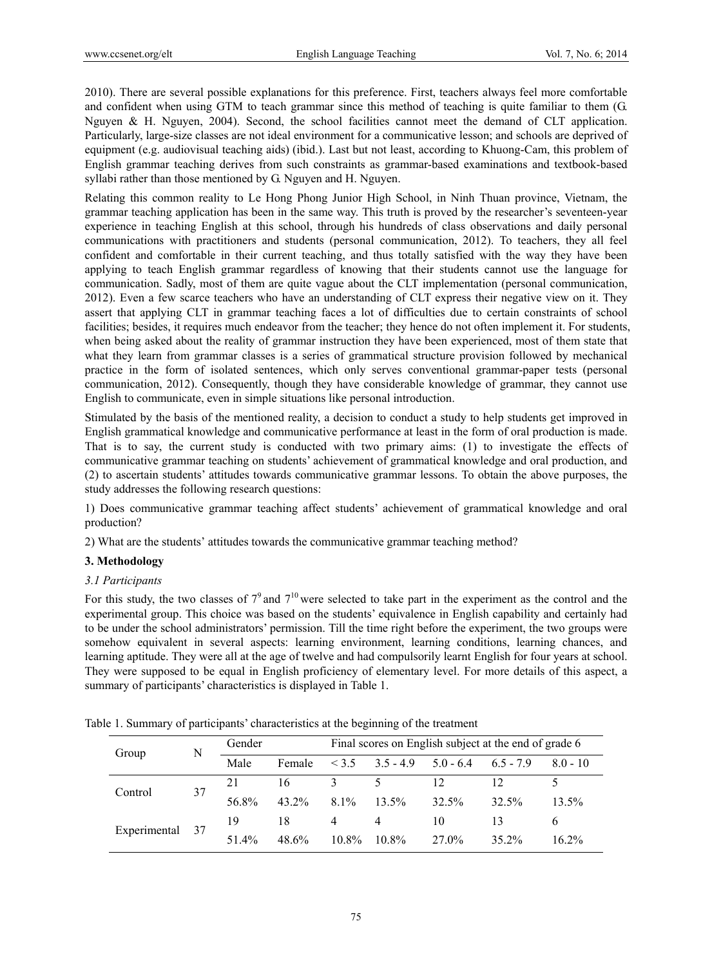2010). There are several possible explanations for this preference. First, teachers always feel more comfortable and confident when using GTM to teach grammar since this method of teaching is quite familiar to them (G. Nguyen & H. Nguyen, 2004). Second, the school facilities cannot meet the demand of CLT application. Particularly, large-size classes are not ideal environment for a communicative lesson; and schools are deprived of equipment (e.g. audiovisual teaching aids) (ibid.). Last but not least, according to Khuong-Cam, this problem of English grammar teaching derives from such constraints as grammar-based examinations and textbook-based syllabi rather than those mentioned by G. Nguyen and H. Nguyen.

Relating this common reality to Le Hong Phong Junior High School, in Ninh Thuan province, Vietnam, the grammar teaching application has been in the same way. This truth is proved by the researcher's seventeen-year experience in teaching English at this school, through his hundreds of class observations and daily personal communications with practitioners and students (personal communication, 2012). To teachers, they all feel confident and comfortable in their current teaching, and thus totally satisfied with the way they have been applying to teach English grammar regardless of knowing that their students cannot use the language for communication. Sadly, most of them are quite vague about the CLT implementation (personal communication, 2012). Even a few scarce teachers who have an understanding of CLT express their negative view on it. They assert that applying CLT in grammar teaching faces a lot of difficulties due to certain constraints of school facilities; besides, it requires much endeavor from the teacher; they hence do not often implement it. For students, when being asked about the reality of grammar instruction they have been experienced, most of them state that what they learn from grammar classes is a series of grammatical structure provision followed by mechanical practice in the form of isolated sentences, which only serves conventional grammar-paper tests (personal communication, 2012). Consequently, though they have considerable knowledge of grammar, they cannot use English to communicate, even in simple situations like personal introduction.

Stimulated by the basis of the mentioned reality, a decision to conduct a study to help students get improved in English grammatical knowledge and communicative performance at least in the form of oral production is made. That is to say, the current study is conducted with two primary aims: (1) to investigate the effects of communicative grammar teaching on students' achievement of grammatical knowledge and oral production, and (2) to ascertain students' attitudes towards communicative grammar lessons. To obtain the above purposes, the study addresses the following research questions:

1) Does communicative grammar teaching affect students' achievement of grammatical knowledge and oral production?

2) What are the students' attitudes towards the communicative grammar teaching method?

# **3. Methodology**

# *3.1 Participants*

For this study, the two classes of  $7^9$  and  $7^{10}$  were selected to take part in the experiment as the control and the experimental group. This choice was based on the students' equivalence in English capability and certainly had to be under the school administrators' permission. Till the time right before the experiment, the two groups were somehow equivalent in several aspects: learning environment, learning conditions, learning chances, and learning aptitude. They were all at the age of twelve and had compulsorily learnt English for four years at school. They were supposed to be equal in English proficiency of elementary level. For more details of this aspect, a summary of participants' characteristics is displayed in Table 1.

| Group        | N  | Gender |          |          | Final scores on English subject at the end of grade 6 |             |             |            |  |  |
|--------------|----|--------|----------|----------|-------------------------------------------------------|-------------|-------------|------------|--|--|
|              |    | Male   | Female   | < 3.5    | $3.5 - 4.9$                                           | $5.0 - 6.4$ | $6.5 - 7.9$ | $8.0 - 10$ |  |  |
| Control      | 37 | 21     | 16       | 3        |                                                       |             | 12          |            |  |  |
|              |    | 56.8%  | $43.2\%$ | $8.1\%$  | 13.5%                                                 | 32.5%       | 32.5%       | $13.5\%$   |  |  |
|              |    | 19     | 18       | 4        | 4                                                     | 10          | 13          | h          |  |  |
| Experimental | 37 | 51.4%  | 48.6%    | $10.8\%$ | $10.8\%$                                              | 27.0%       | $35.2\%$    | $16.2\%$   |  |  |

Table 1. Summary of participants' characteristics at the beginning of the treatment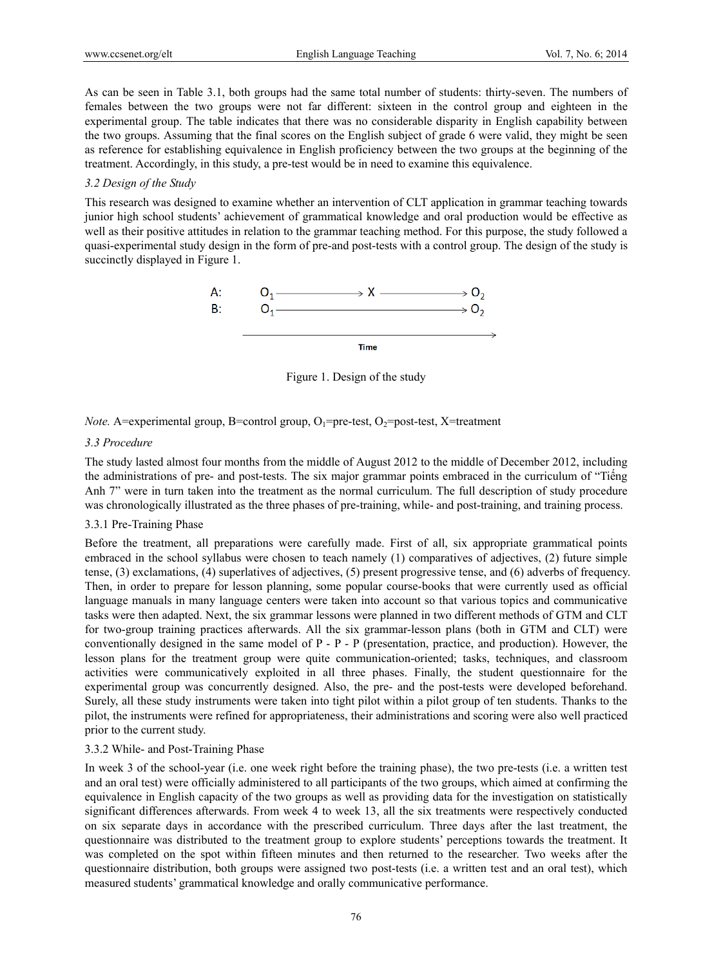As can be seen in Table 3.1, both groups had the same total number of students: thirty-seven. The numbers of females between the two groups were not far different: sixteen in the control group and eighteen in the experimental group. The table indicates that there was no considerable disparity in English capability between the two groups. Assuming that the final scores on the English subject of grade 6 were valid, they might be seen as reference for establishing equivalence in English proficiency between the two groups at the beginning of the treatment. Accordingly, in this study, a pre-test would be in need to examine this equivalence.

# *3.2 Design of the Study*

This research was designed to examine whether an intervention of CLT application in grammar teaching towards junior high school students' achievement of grammatical knowledge and oral production would be effective as well as their positive attitudes in relation to the grammar teaching method. For this purpose, the study followed a quasi-experimental study design in the form of pre-and post-tests with a control group. The design of the study is succinctly displayed in Figure 1.



Figure 1. Design of the study

*Note.* A=experimental group, B=control group,  $O_1$ =pre-test,  $O_2$ =post-test, X=treatment

## *3.3 Procedure*

The study lasted almost four months from the middle of August 2012 to the middle of December 2012, including the administrations of pre- and post-tests. The six major grammar points embraced in the curriculum of "Tiếng Anh 7" were in turn taken into the treatment as the normal curriculum. The full description of study procedure was chronologically illustrated as the three phases of pre-training, while- and post-training, and training process.

# 3.3.1 Pre-Training Phase

Before the treatment, all preparations were carefully made. First of all, six appropriate grammatical points embraced in the school syllabus were chosen to teach namely (1) comparatives of adjectives, (2) future simple tense, (3) exclamations, (4) superlatives of adjectives, (5) present progressive tense, and (6) adverbs of frequency. Then, in order to prepare for lesson planning, some popular course-books that were currently used as official language manuals in many language centers were taken into account so that various topics and communicative tasks were then adapted. Next, the six grammar lessons were planned in two different methods of GTM and CLT for two-group training practices afterwards. All the six grammar-lesson plans (both in GTM and CLT) were conventionally designed in the same model of P - P - P (presentation, practice, and production). However, the lesson plans for the treatment group were quite communication-oriented; tasks, techniques, and classroom activities were communicatively exploited in all three phases. Finally, the student questionnaire for the experimental group was concurrently designed. Also, the pre- and the post-tests were developed beforehand. Surely, all these study instruments were taken into tight pilot within a pilot group of ten students. Thanks to the pilot, the instruments were refined for appropriateness, their administrations and scoring were also well practiced prior to the current study.

# 3.3.2 While- and Post-Training Phase

In week 3 of the school-year (i.e. one week right before the training phase), the two pre-tests (i.e. a written test and an oral test) were officially administered to all participants of the two groups, which aimed at confirming the equivalence in English capacity of the two groups as well as providing data for the investigation on statistically significant differences afterwards. From week 4 to week 13, all the six treatments were respectively conducted on six separate days in accordance with the prescribed curriculum. Three days after the last treatment, the questionnaire was distributed to the treatment group to explore students' perceptions towards the treatment. It was completed on the spot within fifteen minutes and then returned to the researcher. Two weeks after the questionnaire distribution, both groups were assigned two post-tests (i.e. a written test and an oral test), which measured students' grammatical knowledge and orally communicative performance.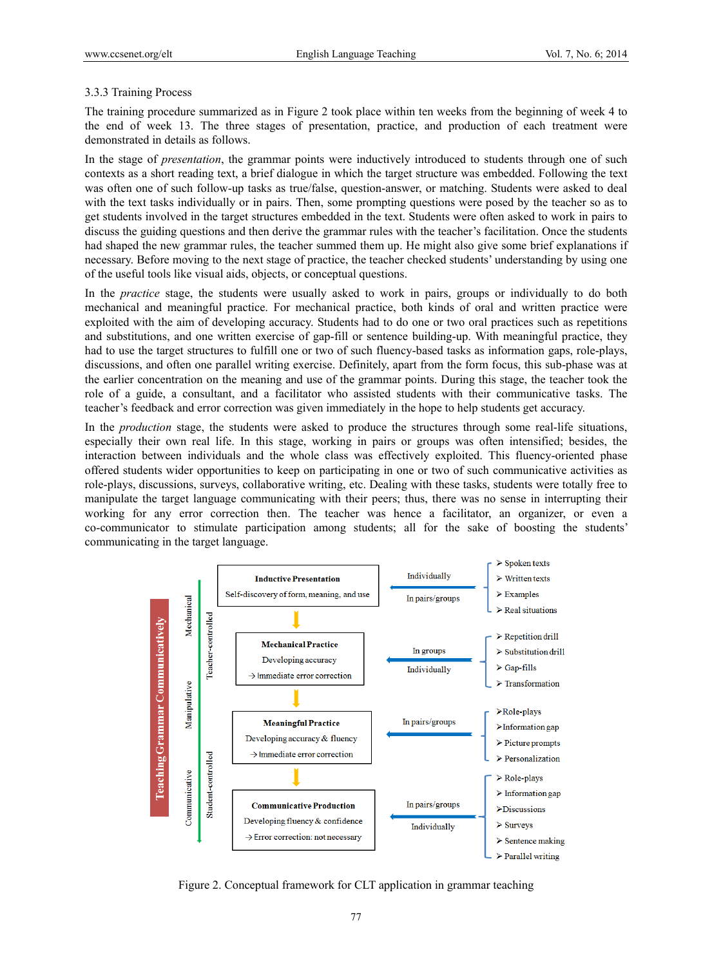# 3.3.3 Training Process

The training procedure summarized as in Figure 2 took place within ten weeks from the beginning of week 4 to the end of week 13. The three stages of presentation, practice, and production of each treatment were demonstrated in details as follows.

In the stage of *presentation*, the grammar points were inductively introduced to students through one of such contexts as a short reading text, a brief dialogue in which the target structure was embedded. Following the text was often one of such follow-up tasks as true/false, question-answer, or matching. Students were asked to deal with the text tasks individually or in pairs. Then, some prompting questions were posed by the teacher so as to get students involved in the target structures embedded in the text. Students were often asked to work in pairs to discuss the guiding questions and then derive the grammar rules with the teacher's facilitation. Once the students had shaped the new grammar rules, the teacher summed them up. He might also give some brief explanations if necessary. Before moving to the next stage of practice, the teacher checked students' understanding by using one of the useful tools like visual aids, objects, or conceptual questions.

In the *practice* stage, the students were usually asked to work in pairs, groups or individually to do both mechanical and meaningful practice. For mechanical practice, both kinds of oral and written practice were exploited with the aim of developing accuracy. Students had to do one or two oral practices such as repetitions and substitutions, and one written exercise of gap-fill or sentence building-up. With meaningful practice, they had to use the target structures to fulfill one or two of such fluency-based tasks as information gaps, role-plays, discussions, and often one parallel writing exercise. Definitely, apart from the form focus, this sub-phase was at the earlier concentration on the meaning and use of the grammar points. During this stage, the teacher took the role of a guide, a consultant, and a facilitator who assisted students with their communicative tasks. The teacher's feedback and error correction was given immediately in the hope to help students get accuracy.

In the *production* stage, the students were asked to produce the structures through some real-life situations, especially their own real life. In this stage, working in pairs or groups was often intensified; besides, the interaction between individuals and the whole class was effectively exploited. This fluency-oriented phase offered students wider opportunities to keep on participating in one or two of such communicative activities as role-plays, discussions, surveys, collaborative writing, etc. Dealing with these tasks, students were totally free to manipulate the target language communicating with their peers; thus, there was no sense in interrupting their working for any error correction then. The teacher was hence a facilitator, an organizer, or even a co-communicator to stimulate participation among students; all for the sake of boosting the students' communicating in the target language.



Figure 2. Conceptual framework for CLT application in grammar teaching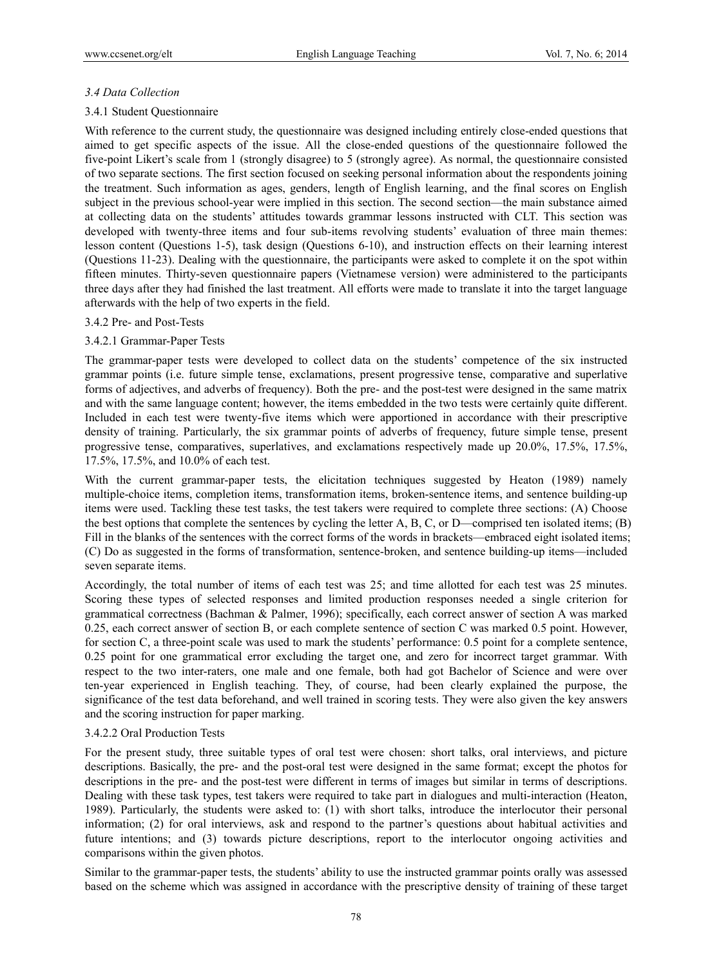## *3.4 Data Collection*

#### 3.4.1 Student Questionnaire

With reference to the current study, the questionnaire was designed including entirely close-ended questions that aimed to get specific aspects of the issue. All the close-ended questions of the questionnaire followed the five-point Likert's scale from 1 (strongly disagree) to 5 (strongly agree). As normal, the questionnaire consisted of two separate sections. The first section focused on seeking personal information about the respondents joining the treatment. Such information as ages, genders, length of English learning, and the final scores on English subject in the previous school-year were implied in this section. The second section—the main substance aimed at collecting data on the students' attitudes towards grammar lessons instructed with CLT. This section was developed with twenty-three items and four sub-items revolving students' evaluation of three main themes: lesson content (Questions 1-5), task design (Questions 6-10), and instruction effects on their learning interest (Questions 11-23). Dealing with the questionnaire, the participants were asked to complete it on the spot within fifteen minutes. Thirty-seven questionnaire papers (Vietnamese version) were administered to the participants three days after they had finished the last treatment. All efforts were made to translate it into the target language afterwards with the help of two experts in the field.

#### 3.4.2 Pre- and Post-Tests

#### 3.4.2.1 Grammar-Paper Tests

The grammar-paper tests were developed to collect data on the students' competence of the six instructed grammar points (i.e. future simple tense, exclamations, present progressive tense, comparative and superlative forms of adjectives, and adverbs of frequency). Both the pre- and the post-test were designed in the same matrix and with the same language content; however, the items embedded in the two tests were certainly quite different. Included in each test were twenty-five items which were apportioned in accordance with their prescriptive density of training. Particularly, the six grammar points of adverbs of frequency, future simple tense, present progressive tense, comparatives, superlatives, and exclamations respectively made up 20.0%, 17.5%, 17.5%, 17.5%, 17.5%, and 10.0% of each test.

With the current grammar-paper tests, the elicitation techniques suggested by Heaton (1989) namely multiple-choice items, completion items, transformation items, broken-sentence items, and sentence building-up items were used. Tackling these test tasks, the test takers were required to complete three sections: (A) Choose the best options that complete the sentences by cycling the letter A, B, C, or D—comprised ten isolated items; (B) Fill in the blanks of the sentences with the correct forms of the words in brackets—embraced eight isolated items; (C) Do as suggested in the forms of transformation, sentence-broken, and sentence building-up items—included seven separate items.

Accordingly, the total number of items of each test was 25; and time allotted for each test was 25 minutes. Scoring these types of selected responses and limited production responses needed a single criterion for grammatical correctness (Bachman & Palmer, 1996); specifically, each correct answer of section A was marked 0.25, each correct answer of section B, or each complete sentence of section C was marked 0.5 point. However, for section C, a three-point scale was used to mark the students' performance: 0.5 point for a complete sentence, 0.25 point for one grammatical error excluding the target one, and zero for incorrect target grammar. With respect to the two inter-raters, one male and one female, both had got Bachelor of Science and were over ten-year experienced in English teaching. They, of course, had been clearly explained the purpose, the significance of the test data beforehand, and well trained in scoring tests. They were also given the key answers and the scoring instruction for paper marking.

#### 3.4.2.2 Oral Production Tests

For the present study, three suitable types of oral test were chosen: short talks, oral interviews, and picture descriptions. Basically, the pre- and the post-oral test were designed in the same format; except the photos for descriptions in the pre- and the post-test were different in terms of images but similar in terms of descriptions. Dealing with these task types, test takers were required to take part in dialogues and multi-interaction (Heaton, 1989). Particularly, the students were asked to: (1) with short talks, introduce the interlocutor their personal information; (2) for oral interviews, ask and respond to the partner's questions about habitual activities and future intentions; and (3) towards picture descriptions, report to the interlocutor ongoing activities and comparisons within the given photos.

Similar to the grammar-paper tests, the students' ability to use the instructed grammar points orally was assessed based on the scheme which was assigned in accordance with the prescriptive density of training of these target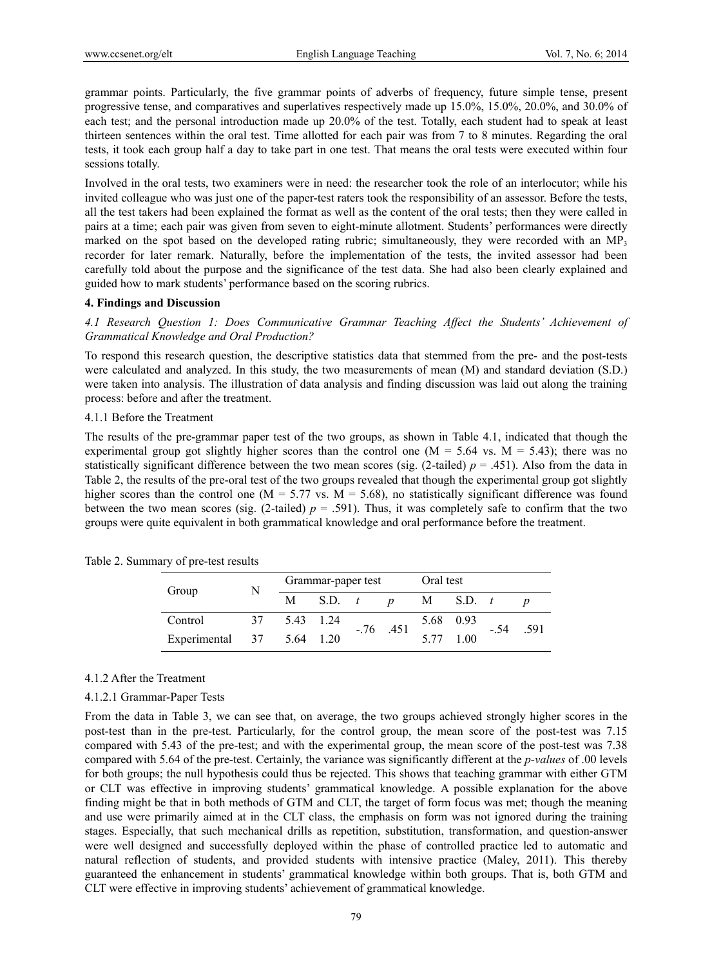grammar points. Particularly, the five grammar points of adverbs of frequency, future simple tense, present progressive tense, and comparatives and superlatives respectively made up 15.0%, 15.0%, 20.0%, and 30.0% of each test; and the personal introduction made up 20.0% of the test. Totally, each student had to speak at least thirteen sentences within the oral test. Time allotted for each pair was from 7 to 8 minutes. Regarding the oral tests, it took each group half a day to take part in one test. That means the oral tests were executed within four sessions totally.

Involved in the oral tests, two examiners were in need: the researcher took the role of an interlocutor; while his invited colleague who was just one of the paper-test raters took the responsibility of an assessor. Before the tests, all the test takers had been explained the format as well as the content of the oral tests; then they were called in pairs at a time; each pair was given from seven to eight-minute allotment. Students' performances were directly marked on the spot based on the developed rating rubric; simultaneously, they were recorded with an  $MP_3$ recorder for later remark. Naturally, before the implementation of the tests, the invited assessor had been carefully told about the purpose and the significance of the test data. She had also been clearly explained and guided how to mark students' performance based on the scoring rubrics.

#### **4. Findings and Discussion**

*4.1 Research Question 1: Does Communicative Grammar Teaching Affect the Students' Achievement of Grammatical Knowledge and Oral Production?* 

To respond this research question, the descriptive statistics data that stemmed from the pre- and the post-tests were calculated and analyzed. In this study, the two measurements of mean (M) and standard deviation (S.D.) were taken into analysis. The illustration of data analysis and finding discussion was laid out along the training process: before and after the treatment.

#### 4.1.1 Before the Treatment

The results of the pre-grammar paper test of the two groups, as shown in Table 4.1, indicated that though the experimental group got slightly higher scores than the control one  $(M = 5.64$  vs.  $M = 5.43)$ ; there was no statistically significant difference between the two mean scores (sig. (2-tailed)  $p = .451$ ). Also from the data in Table 2, the results of the pre-oral test of the two groups revealed that though the experimental group got slightly higher scores than the control one ( $M = 5.77$  vs.  $M = 5.68$ ), no statistically significant difference was found between the two mean scores (sig. (2-tailed)  $p = .591$ ). Thus, it was completely safe to confirm that the two groups were quite equivalent in both grammatical knowledge and oral performance before the treatment.

| Group   | N  | Grammar-paper test              |              |  |                  | Oral test |            |        |      |
|---------|----|---------------------------------|--------------|--|------------------|-----------|------------|--------|------|
|         |    |                                 | $M$ S.D. $t$ |  | $\boldsymbol{p}$ |           | $M$ S.D. t |        |      |
| Control | 37 |                                 | 5.43 1.24    |  |                  |           | 5.68 0.93  |        |      |
|         |    | Experimental $37$ $5.64$ $1.20$ |              |  | $-.76$ .451      |           | 5 77 1 00  | $-.54$ | .591 |

|  |  | Table 2. Summary of pre-test results |  |
|--|--|--------------------------------------|--|
|--|--|--------------------------------------|--|

#### 4.1.2 After the Treatment

#### 4.1.2.1 Grammar-Paper Tests

From the data in Table 3, we can see that, on average, the two groups achieved strongly higher scores in the post-test than in the pre-test. Particularly, for the control group, the mean score of the post-test was 7.15 compared with 5.43 of the pre-test; and with the experimental group, the mean score of the post-test was 7.38 compared with 5.64 of the pre-test. Certainly, the variance was significantly different at the *p-values* of .00 levels for both groups; the null hypothesis could thus be rejected. This shows that teaching grammar with either GTM or CLT was effective in improving students' grammatical knowledge. A possible explanation for the above finding might be that in both methods of GTM and CLT, the target of form focus was met; though the meaning and use were primarily aimed at in the CLT class, the emphasis on form was not ignored during the training stages. Especially, that such mechanical drills as repetition, substitution, transformation, and question-answer were well designed and successfully deployed within the phase of controlled practice led to automatic and natural reflection of students, and provided students with intensive practice (Maley, 2011). This thereby guaranteed the enhancement in students' grammatical knowledge within both groups. That is, both GTM and CLT were effective in improving students' achievement of grammatical knowledge.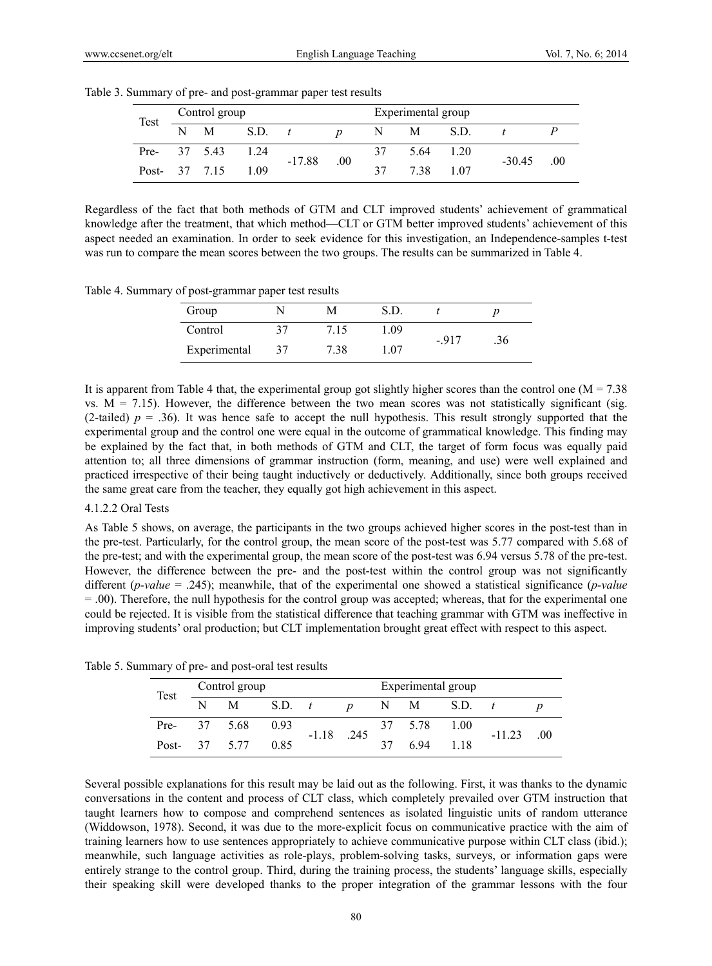| Test          | Control group |      |          |      | Experimental group |           |       |          |     |  |
|---------------|---------------|------|----------|------|--------------------|-----------|-------|----------|-----|--|
|               | $N$ M         | S.D. |          |      | Ν                  | М         | S.D.  |          |     |  |
| Pre-          | 37 5.43       | 1.24 | $-17.88$ | .00. | 37                 | 5.64 1.20 |       | $-30.45$ | .00 |  |
| Post- 37 7.15 |               | 1.09 |          |      | 37                 | 7.38      | 1 0 7 |          |     |  |

Table 3. Summary of pre- and post-grammar paper test results

Regardless of the fact that both methods of GTM and CLT improved students' achievement of grammatical knowledge after the treatment, that which method—CLT or GTM better improved students' achievement of this aspect needed an examination. In order to seek evidence for this investigation, an Independence-samples t-test was run to compare the mean scores between the two groups. The results can be summarized in Table 4.

Table 4. Summary of post-grammar paper test results

| Group        |    | М    |     |        |     |
|--------------|----|------|-----|--------|-----|
| Control      |    | 715  | .09 | $-917$ | .36 |
| Experimental | 37 | 7.38 | -07 |        |     |

It is apparent from Table 4 that, the experimental group got slightly higher scores than the control one ( $M = 7.38$ ) vs.  $M = 7.15$ ). However, the difference between the two mean scores was not statistically significant (sig. (2-tailed)  $p = .36$ ). It was hence safe to accept the null hypothesis. This result strongly supported that the experimental group and the control one were equal in the outcome of grammatical knowledge. This finding may be explained by the fact that, in both methods of GTM and CLT, the target of form focus was equally paid attention to; all three dimensions of grammar instruction (form, meaning, and use) were well explained and practiced irrespective of their being taught inductively or deductively. Additionally, since both groups received the same great care from the teacher, they equally got high achievement in this aspect.

#### 4.1.2.2 Oral Tests

As Table 5 shows, on average, the participants in the two groups achieved higher scores in the post-test than in the pre-test. Particularly, for the control group, the mean score of the post-test was 5.77 compared with 5.68 of the pre-test; and with the experimental group, the mean score of the post-test was 6.94 versus 5.78 of the pre-test. However, the difference between the pre- and the post-test within the control group was not significantly different (*p-value* = .245); meanwhile, that of the experimental one showed a statistical significance (*p-value*  $=$  .00). Therefore, the null hypothesis for the control group was accepted; whereas, that for the experimental one could be rejected. It is visible from the statistical difference that teaching grammar with GTM was ineffective in improving students' oral production; but CLT implementation brought great effect with respect to this aspect.

Table 5. Summary of pre- and post-oral test results

| Test  |    | Control group |             |         |                  | Experimental group |      |       |          |     |
|-------|----|---------------|-------------|---------|------------------|--------------------|------|-------|----------|-----|
|       | N  | М             | $S.D. \t t$ |         | $\boldsymbol{D}$ | N M                |      | S.D.  |          |     |
| Pre-  |    | 37 5.68       | 0.93        | $-1.18$ | .245             |                    | 5.78 | 1.00  |          |     |
| Post- | 37 | 5.77          | 0.85        |         |                  |                    | 694  | 1 1 8 | $-11.23$ | .00 |

Several possible explanations for this result may be laid out as the following. First, it was thanks to the dynamic conversations in the content and process of CLT class, which completely prevailed over GTM instruction that taught learners how to compose and comprehend sentences as isolated linguistic units of random utterance (Widdowson, 1978). Second, it was due to the more-explicit focus on communicative practice with the aim of training learners how to use sentences appropriately to achieve communicative purpose within CLT class (ibid.); meanwhile, such language activities as role-plays, problem-solving tasks, surveys, or information gaps were entirely strange to the control group. Third, during the training process, the students' language skills, especially their speaking skill were developed thanks to the proper integration of the grammar lessons with the four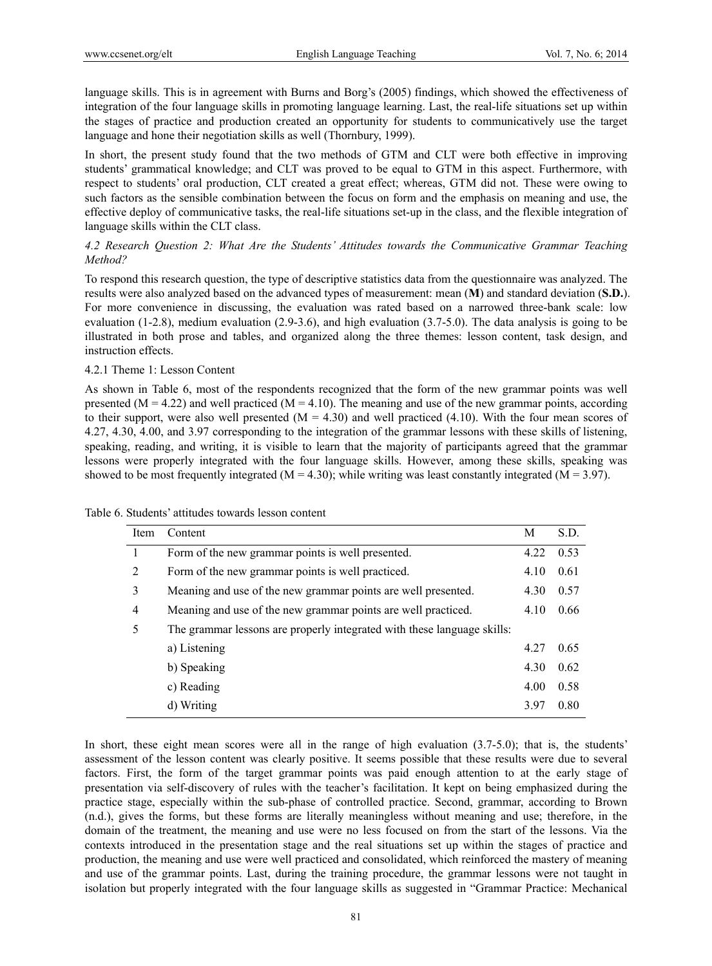language skills. This is in agreement with Burns and Borg's (2005) findings, which showed the effectiveness of integration of the four language skills in promoting language learning. Last, the real-life situations set up within the stages of practice and production created an opportunity for students to communicatively use the target language and hone their negotiation skills as well (Thornbury, 1999).

In short, the present study found that the two methods of GTM and CLT were both effective in improving students' grammatical knowledge; and CLT was proved to be equal to GTM in this aspect. Furthermore, with respect to students' oral production, CLT created a great effect; whereas, GTM did not. These were owing to such factors as the sensible combination between the focus on form and the emphasis on meaning and use, the effective deploy of communicative tasks, the real-life situations set-up in the class, and the flexible integration of language skills within the CLT class.

# *4.2 Research Question 2: What Are the Students' Attitudes towards the Communicative Grammar Teaching Method?*

To respond this research question, the type of descriptive statistics data from the questionnaire was analyzed. The results were also analyzed based on the advanced types of measurement: mean (**M**) and standard deviation (**S.D.**). For more convenience in discussing, the evaluation was rated based on a narrowed three-bank scale: low evaluation (1-2.8), medium evaluation (2.9-3.6), and high evaluation (3.7-5.0). The data analysis is going to be illustrated in both prose and tables, and organized along the three themes: lesson content, task design, and instruction effects.

# 4.2.1 Theme 1: Lesson Content

As shown in Table 6, most of the respondents recognized that the form of the new grammar points was well presented ( $M = 4.22$ ) and well practiced ( $M = 4.10$ ). The meaning and use of the new grammar points, according to their support, were also well presented  $(M = 4.30)$  and well practiced (4.10). With the four mean scores of 4.27, 4.30, 4.00, and 3.97 corresponding to the integration of the grammar lessons with these skills of listening, speaking, reading, and writing, it is visible to learn that the majority of participants agreed that the grammar lessons were properly integrated with the four language skills. However, among these skills, speaking was showed to be most frequently integrated ( $M = 4.30$ ); while writing was least constantly integrated ( $M = 3.97$ ).

| Item | Content                                                                 | M    | S.D. |
|------|-------------------------------------------------------------------------|------|------|
| 1    | Form of the new grammar points is well presented.                       | 4.22 | 0.53 |
| 2    | Form of the new grammar points is well practiced.                       | 4.10 | 0.61 |
| 3    | Meaning and use of the new grammar points are well presented.           | 4.30 | 0.57 |
| 4    | Meaning and use of the new grammar points are well practiced.           | 4.10 | 0.66 |
| 5    | The grammar lessons are properly integrated with these language skills: |      |      |
|      | a) Listening                                                            | 4.27 | 0.65 |
|      | b) Speaking                                                             | 4.30 | 0.62 |
|      | c) Reading                                                              | 4.00 | 0.58 |
|      | d) Writing                                                              | 3.97 | 0.80 |

Table 6. Students' attitudes towards lesson content

In short, these eight mean scores were all in the range of high evaluation (3.7-5.0); that is, the students' assessment of the lesson content was clearly positive. It seems possible that these results were due to several factors. First, the form of the target grammar points was paid enough attention to at the early stage of presentation via self-discovery of rules with the teacher's facilitation. It kept on being emphasized during the practice stage, especially within the sub-phase of controlled practice. Second, grammar, according to Brown (n.d.), gives the forms, but these forms are literally meaningless without meaning and use; therefore, in the domain of the treatment, the meaning and use were no less focused on from the start of the lessons. Via the contexts introduced in the presentation stage and the real situations set up within the stages of practice and production, the meaning and use were well practiced and consolidated, which reinforced the mastery of meaning and use of the grammar points. Last, during the training procedure, the grammar lessons were not taught in isolation but properly integrated with the four language skills as suggested in "Grammar Practice: Mechanical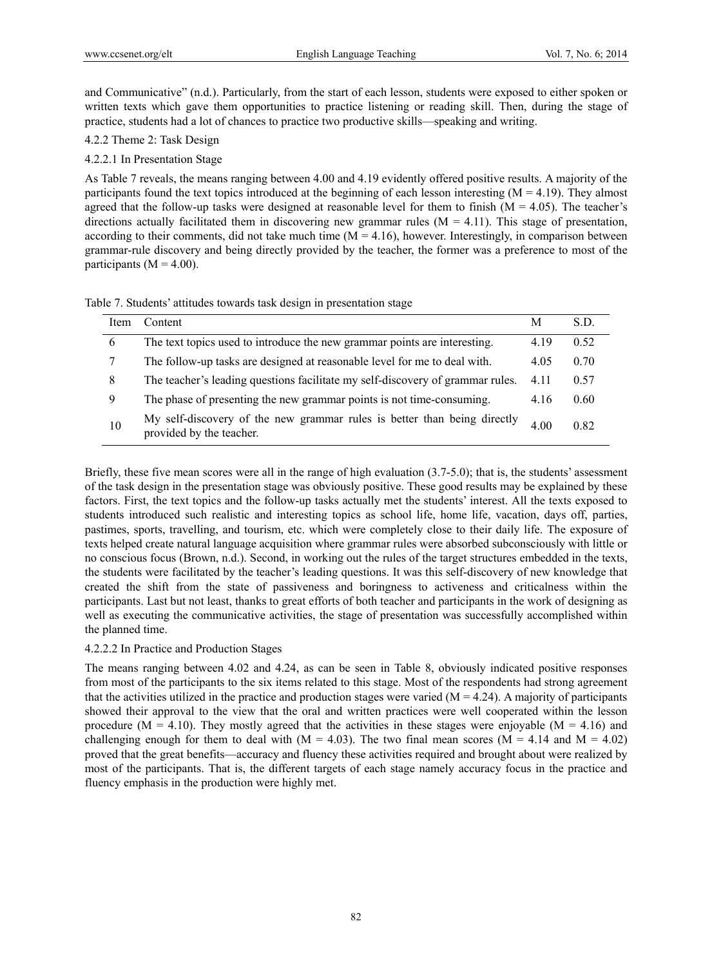and Communicative" (n.d.). Particularly, from the start of each lesson, students were exposed to either spoken or written texts which gave them opportunities to practice listening or reading skill. Then, during the stage of practice, students had a lot of chances to practice two productive skills—speaking and writing.

# 4.2.2 Theme 2: Task Design

# 4.2.2.1 In Presentation Stage

As Table 7 reveals, the means ranging between 4.00 and 4.19 evidently offered positive results. A majority of the participants found the text topics introduced at the beginning of each lesson interesting  $(M = 4.19)$ . They almost agreed that the follow-up tasks were designed at reasonable level for them to finish  $(M = 4.05)$ . The teacher's directions actually facilitated them in discovering new grammar rules ( $M = 4.11$ ). This stage of presentation, according to their comments, did not take much time  $(M = 4.16)$ , however. Interestingly, in comparison between grammar-rule discovery and being directly provided by the teacher, the former was a preference to most of the participants ( $M = 4.00$ ).

|  |  |  |  | Table 7. Students' attitudes towards task design in presentation stage |
|--|--|--|--|------------------------------------------------------------------------|
|  |  |  |  |                                                                        |

| Item | Content                                                                                              | М    | S.D. |
|------|------------------------------------------------------------------------------------------------------|------|------|
| 6    | The text topics used to introduce the new grammar points are interesting.                            | 4.19 | 0.52 |
|      | The follow-up tasks are designed at reasonable level for me to deal with.                            | 4.05 | 0.70 |
| 8    | The teacher's leading questions facilitate my self-discovery of grammar rules.                       | 4.11 | 0.57 |
| 9    | The phase of presenting the new grammar points is not time-consuming.                                | 4.16 | 0.60 |
| 10   | My self-discovery of the new grammar rules is better than being directly<br>provided by the teacher. | 4.00 | 0.82 |

Briefly, these five mean scores were all in the range of high evaluation (3.7-5.0); that is, the students' assessment of the task design in the presentation stage was obviously positive. These good results may be explained by these factors. First, the text topics and the follow-up tasks actually met the students' interest. All the texts exposed to students introduced such realistic and interesting topics as school life, home life, vacation, days off, parties, pastimes, sports, travelling, and tourism, etc. which were completely close to their daily life. The exposure of texts helped create natural language acquisition where grammar rules were absorbed subconsciously with little or no conscious focus (Brown, n.d.). Second, in working out the rules of the target structures embedded in the texts, the students were facilitated by the teacher's leading questions. It was this self-discovery of new knowledge that created the shift from the state of passiveness and boringness to activeness and criticalness within the participants. Last but not least, thanks to great efforts of both teacher and participants in the work of designing as well as executing the communicative activities, the stage of presentation was successfully accomplished within the planned time.

# 4.2.2.2 In Practice and Production Stages

The means ranging between 4.02 and 4.24, as can be seen in Table 8, obviously indicated positive responses from most of the participants to the six items related to this stage. Most of the respondents had strong agreement that the activities utilized in the practice and production stages were varied  $(M = 4.24)$ . A majority of participants showed their approval to the view that the oral and written practices were well cooperated within the lesson procedure ( $M = 4.10$ ). They mostly agreed that the activities in these stages were enjoyable ( $M = 4.16$ ) and challenging enough for them to deal with  $(M = 4.03)$ . The two final mean scores  $(M = 4.14$  and  $M = 4.02)$ proved that the great benefits—accuracy and fluency these activities required and brought about were realized by most of the participants. That is, the different targets of each stage namely accuracy focus in the practice and fluency emphasis in the production were highly met.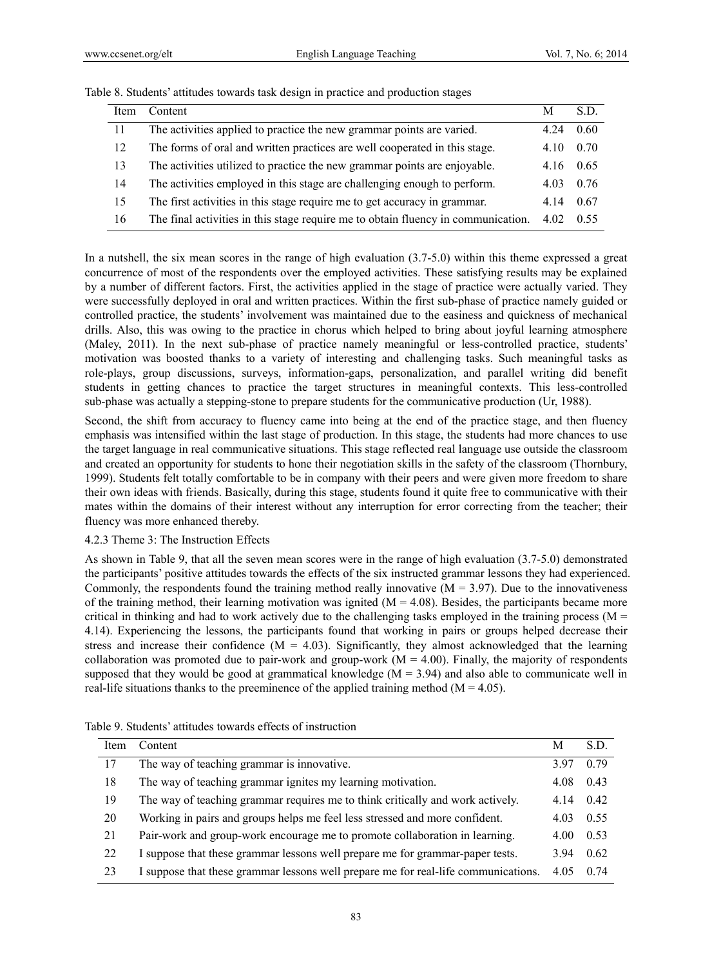| Item | Content                                                                           | М     | S.D. |
|------|-----------------------------------------------------------------------------------|-------|------|
| 11   | The activities applied to practice the new grammar points are varied.             | 4 2 4 | 0.60 |
| 12   | The forms of oral and written practices are well cooperated in this stage.        | 4.10  | 0.70 |
| 13   | The activities utilized to practice the new grammar points are enjoyable.         | 4.16  | 0.65 |
| 14   | The activities employed in this stage are challenging enough to perform.          | 4.03  | 0.76 |
| 15   | The first activities in this stage require me to get accuracy in grammar.         | 4.14  | 0.67 |
| 16   | The final activities in this stage require me to obtain fluency in communication. | 4.02  | 0.55 |

Table 8. Students' attitudes towards task design in practice and production stages

In a nutshell, the six mean scores in the range of high evaluation (3.7-5.0) within this theme expressed a great concurrence of most of the respondents over the employed activities. These satisfying results may be explained by a number of different factors. First, the activities applied in the stage of practice were actually varied. They were successfully deployed in oral and written practices. Within the first sub-phase of practice namely guided or controlled practice, the students' involvement was maintained due to the easiness and quickness of mechanical drills. Also, this was owing to the practice in chorus which helped to bring about joyful learning atmosphere (Maley, 2011). In the next sub-phase of practice namely meaningful or less-controlled practice, students' motivation was boosted thanks to a variety of interesting and challenging tasks. Such meaningful tasks as role-plays, group discussions, surveys, information-gaps, personalization, and parallel writing did benefit students in getting chances to practice the target structures in meaningful contexts. This less-controlled sub-phase was actually a stepping-stone to prepare students for the communicative production (Ur, 1988).

Second, the shift from accuracy to fluency came into being at the end of the practice stage, and then fluency emphasis was intensified within the last stage of production. In this stage, the students had more chances to use the target language in real communicative situations. This stage reflected real language use outside the classroom and created an opportunity for students to hone their negotiation skills in the safety of the classroom (Thornbury, 1999). Students felt totally comfortable to be in company with their peers and were given more freedom to share their own ideas with friends. Basically, during this stage, students found it quite free to communicative with their mates within the domains of their interest without any interruption for error correcting from the teacher; their fluency was more enhanced thereby.

4.2.3 Theme 3: The Instruction Effects

As shown in Table 9, that all the seven mean scores were in the range of high evaluation (3.7-5.0) demonstrated the participants' positive attitudes towards the effects of the six instructed grammar lessons they had experienced. Commonly, the respondents found the training method really innovative  $(M = 3.97)$ . Due to the innovativeness of the training method, their learning motivation was ignited  $(M = 4.08)$ . Besides, the participants became more critical in thinking and had to work actively due to the challenging tasks employed in the training process ( $M =$ 4.14). Experiencing the lessons, the participants found that working in pairs or groups helped decrease their stress and increase their confidence ( $M = 4.03$ ). Significantly, they almost acknowledged that the learning collaboration was promoted due to pair-work and group-work  $(M = 4.00)$ . Finally, the majority of respondents supposed that they would be good at grammatical knowledge  $(M = 3.94)$  and also able to communicate well in real-life situations thanks to the preeminence of the applied training method  $(M = 4.05)$ .

| Item | Content                                                                            | M    | S.D. |
|------|------------------------------------------------------------------------------------|------|------|
| 17   | The way of teaching grammar is innovative.                                         | 397  | 0.79 |
| 18   | The way of teaching grammar ignites my learning motivation.                        | 4.08 | 0.43 |
| 19   | The way of teaching grammar requires me to think critically and work actively.     | 4.14 | 0.42 |
| 20   | Working in pairs and groups helps me feel less stressed and more confident.        | 4.03 | 0.55 |
| 21   | Pair-work and group-work encourage me to promote collaboration in learning.        | 4.00 | 0.53 |
| 22   | I suppose that these grammar lessons well prepare me for grammar-paper tests.      | 394  | 0.62 |
| 23   | I suppose that these grammar lessons well prepare me for real-life communications. | 4.05 | 0.74 |

Table 9. Students' attitudes towards effects of instruction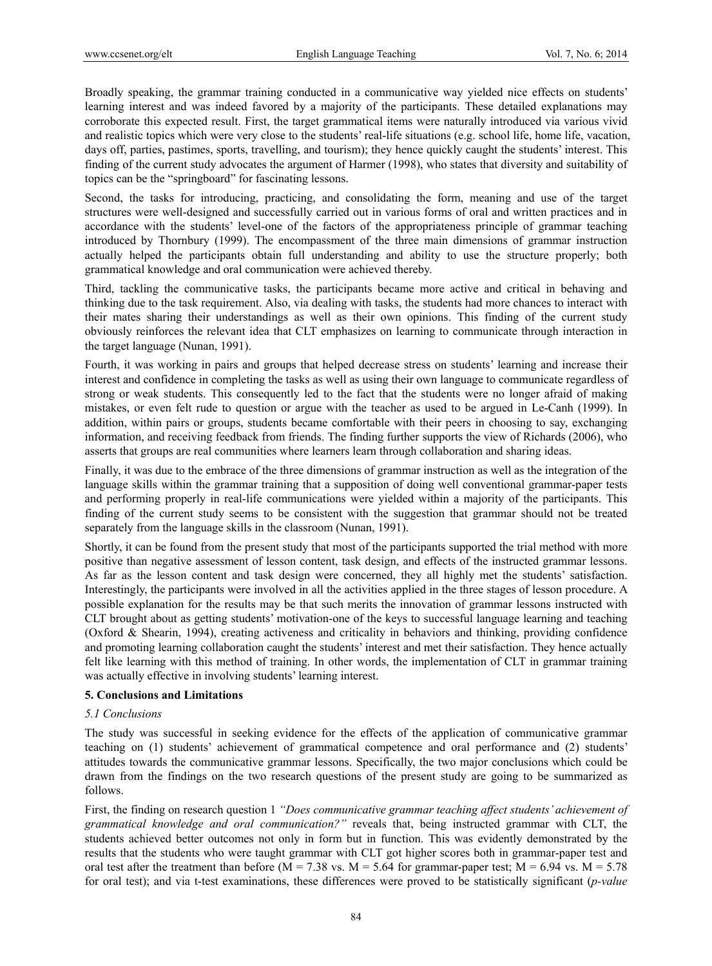Broadly speaking, the grammar training conducted in a communicative way yielded nice effects on students' learning interest and was indeed favored by a majority of the participants. These detailed explanations may corroborate this expected result. First, the target grammatical items were naturally introduced via various vivid and realistic topics which were very close to the students' real-life situations (e.g. school life, home life, vacation, days off, parties, pastimes, sports, travelling, and tourism); they hence quickly caught the students' interest. This finding of the current study advocates the argument of Harmer (1998), who states that diversity and suitability of topics can be the "springboard" for fascinating lessons.

Second, the tasks for introducing, practicing, and consolidating the form, meaning and use of the target structures were well-designed and successfully carried out in various forms of oral and written practices and in accordance with the students' level-one of the factors of the appropriateness principle of grammar teaching introduced by Thornbury (1999). The encompassment of the three main dimensions of grammar instruction actually helped the participants obtain full understanding and ability to use the structure properly; both grammatical knowledge and oral communication were achieved thereby.

Third, tackling the communicative tasks, the participants became more active and critical in behaving and thinking due to the task requirement. Also, via dealing with tasks, the students had more chances to interact with their mates sharing their understandings as well as their own opinions. This finding of the current study obviously reinforces the relevant idea that CLT emphasizes on learning to communicate through interaction in the target language (Nunan, 1991).

Fourth, it was working in pairs and groups that helped decrease stress on students' learning and increase their interest and confidence in completing the tasks as well as using their own language to communicate regardless of strong or weak students. This consequently led to the fact that the students were no longer afraid of making mistakes, or even felt rude to question or argue with the teacher as used to be argued in Le-Canh (1999). In addition, within pairs or groups, students became comfortable with their peers in choosing to say, exchanging information, and receiving feedback from friends. The finding further supports the view of Richards (2006), who asserts that groups are real communities where learners learn through collaboration and sharing ideas.

Finally, it was due to the embrace of the three dimensions of grammar instruction as well as the integration of the language skills within the grammar training that a supposition of doing well conventional grammar-paper tests and performing properly in real-life communications were yielded within a majority of the participants. This finding of the current study seems to be consistent with the suggestion that grammar should not be treated separately from the language skills in the classroom (Nunan, 1991).

Shortly, it can be found from the present study that most of the participants supported the trial method with more positive than negative assessment of lesson content, task design, and effects of the instructed grammar lessons. As far as the lesson content and task design were concerned, they all highly met the students' satisfaction. Interestingly, the participants were involved in all the activities applied in the three stages of lesson procedure. A possible explanation for the results may be that such merits the innovation of grammar lessons instructed with CLT brought about as getting students' motivation-one of the keys to successful language learning and teaching (Oxford & Shearin, 1994), creating activeness and criticality in behaviors and thinking, providing confidence and promoting learning collaboration caught the students' interest and met their satisfaction. They hence actually felt like learning with this method of training. In other words, the implementation of CLT in grammar training was actually effective in involving students' learning interest.

# **5. Conclusions and Limitations**

#### *5.1 Conclusions*

The study was successful in seeking evidence for the effects of the application of communicative grammar teaching on (1) students' achievement of grammatical competence and oral performance and (2) students' attitudes towards the communicative grammar lessons. Specifically, the two major conclusions which could be drawn from the findings on the two research questions of the present study are going to be summarized as follows.

First, the finding on research question 1 *"Does communicative grammar teaching affect students' achievement of grammatical knowledge and oral communication?"* reveals that, being instructed grammar with CLT, the students achieved better outcomes not only in form but in function. This was evidently demonstrated by the results that the students who were taught grammar with CLT got higher scores both in grammar-paper test and oral test after the treatment than before (M = 7.38 vs. M = 5.64 for grammar-paper test; M = 6.94 vs. M = 5.78 for oral test); and via t-test examinations, these differences were proved to be statistically significant (*p-value*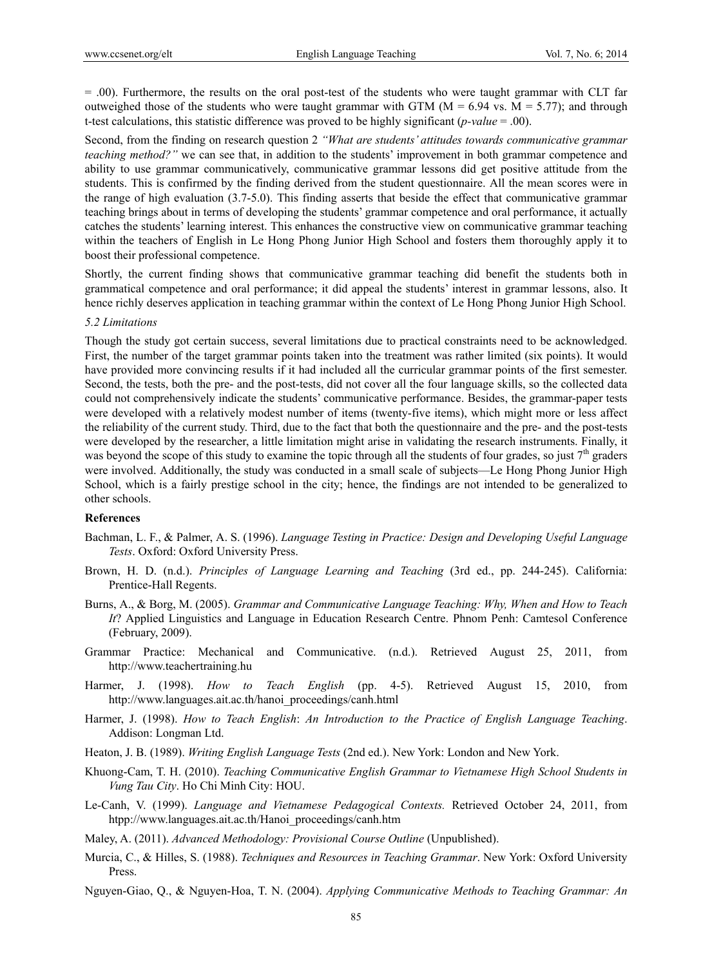$=$  .00). Furthermore, the results on the oral post-test of the students who were taught grammar with CLT far outweighed those of the students who were taught grammar with GTM ( $M = 6.94$  vs.  $M = 5.77$ ); and through t-test calculations, this statistic difference was proved to be highly significant (*p-value* = .00).

Second, from the finding on research question 2 *"What are students' attitudes towards communicative grammar teaching method?"* we can see that, in addition to the students' improvement in both grammar competence and ability to use grammar communicatively, communicative grammar lessons did get positive attitude from the students. This is confirmed by the finding derived from the student questionnaire. All the mean scores were in the range of high evaluation (3.7-5.0). This finding asserts that beside the effect that communicative grammar teaching brings about in terms of developing the students' grammar competence and oral performance, it actually catches the students' learning interest. This enhances the constructive view on communicative grammar teaching within the teachers of English in Le Hong Phong Junior High School and fosters them thoroughly apply it to boost their professional competence.

Shortly, the current finding shows that communicative grammar teaching did benefit the students both in grammatical competence and oral performance; it did appeal the students' interest in grammar lessons, also. It hence richly deserves application in teaching grammar within the context of Le Hong Phong Junior High School.

#### *5.2 Limitations*

Though the study got certain success, several limitations due to practical constraints need to be acknowledged. First, the number of the target grammar points taken into the treatment was rather limited (six points). It would have provided more convincing results if it had included all the curricular grammar points of the first semester. Second, the tests, both the pre- and the post-tests, did not cover all the four language skills, so the collected data could not comprehensively indicate the students' communicative performance. Besides, the grammar-paper tests were developed with a relatively modest number of items (twenty-five items), which might more or less affect the reliability of the current study. Third, due to the fact that both the questionnaire and the pre- and the post-tests were developed by the researcher, a little limitation might arise in validating the research instruments. Finally, it was beyond the scope of this study to examine the topic through all the students of four grades, so just  $7<sup>th</sup>$  graders were involved. Additionally, the study was conducted in a small scale of subjects—Le Hong Phong Junior High School, which is a fairly prestige school in the city; hence, the findings are not intended to be generalized to other schools.

#### **References**

- Bachman, L. F., & Palmer, A. S. (1996). *Language Testing in Practice: Design and Developing Useful Language Tests*. Oxford: Oxford University Press.
- Brown, H. D. (n.d.). *Principles of Language Learning and Teaching* (3rd ed., pp. 244-245). California: Prentice-Hall Regents.
- Burns, A., & Borg, M. (2005). *Grammar and Communicative Language Teaching: Why, When and How to Teach It*? Applied Linguistics and Language in Education Research Centre. Phnom Penh: Camtesol Conference (February, 2009).
- Grammar Practice: Mechanical and Communicative. (n.d.). Retrieved August 25, 2011, from http://www.teachertraining.hu
- Harmer, J. (1998). *How to Teach English* (pp. 4-5). Retrieved August 15, 2010, from http://www.languages.ait.ac.th/hanoi\_proceedings/canh.html
- Harmer, J. (1998). *How to Teach English*: *An Introduction to the Practice of English Language Teaching*. Addison: Longman Ltd.
- Heaton, J. B. (1989). *Writing English Language Tests* (2nd ed.). New York: London and New York.
- Khuong-Cam, T. H. (2010). *Teaching Communicative English Grammar to Vietnamese High School Students in Vung Tau City*. Ho Chi Minh City: HOU.
- Le-Canh, V. (1999). *Language and Vietnamese Pedagogical Contexts.* Retrieved October 24, 2011, from htpp://www.languages.ait.ac.th/Hanoi\_proceedings/canh.htm
- Maley, A. (2011). *Advanced Methodology: Provisional Course Outline* (Unpublished).
- Murcia, C., & Hilles, S. (1988). *Techniques and Resources in Teaching Grammar*. New York: Oxford University Press.
- Nguyen-Giao, Q., & Nguyen-Hoa, T. N. (2004). *Applying Communicative Methods to Teaching Grammar: An*